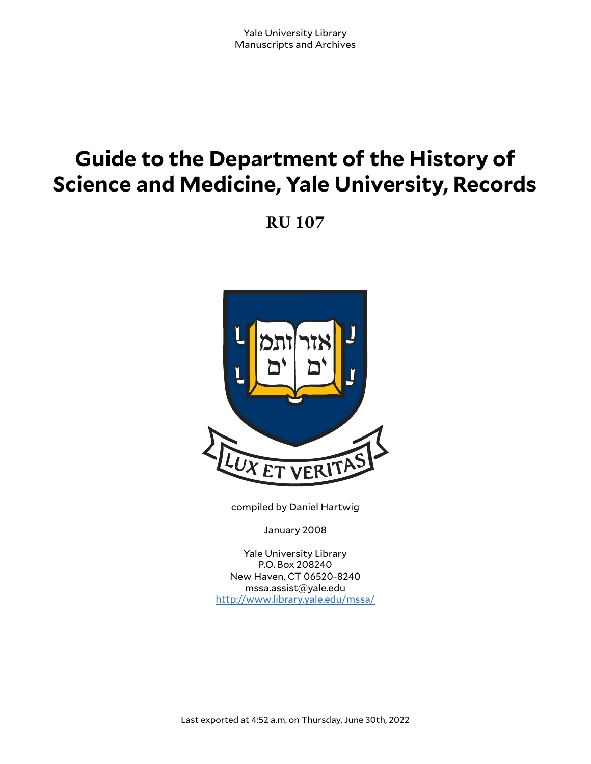# **Guide to the Department of the History of Science and Medicine, Yale University, Records**

**RU 107**



compiled by Daniel Hartwig

January 2008

Yale University Library P.O. Box 208240 New Haven, CT 06520-8240 mssa.assist@yale.edu <http://www.library.yale.edu/mssa/>

Last exported at 4:52 a.m. on Thursday, June 30th, 2022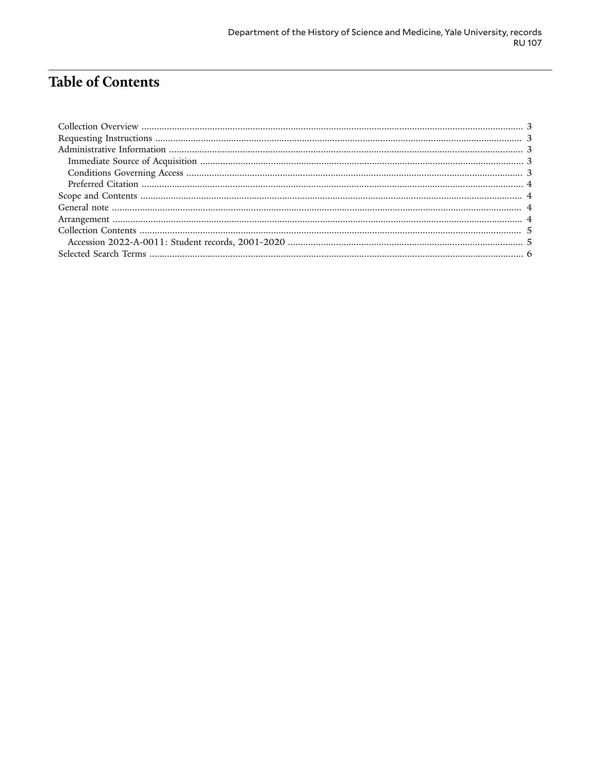# **Table of Contents**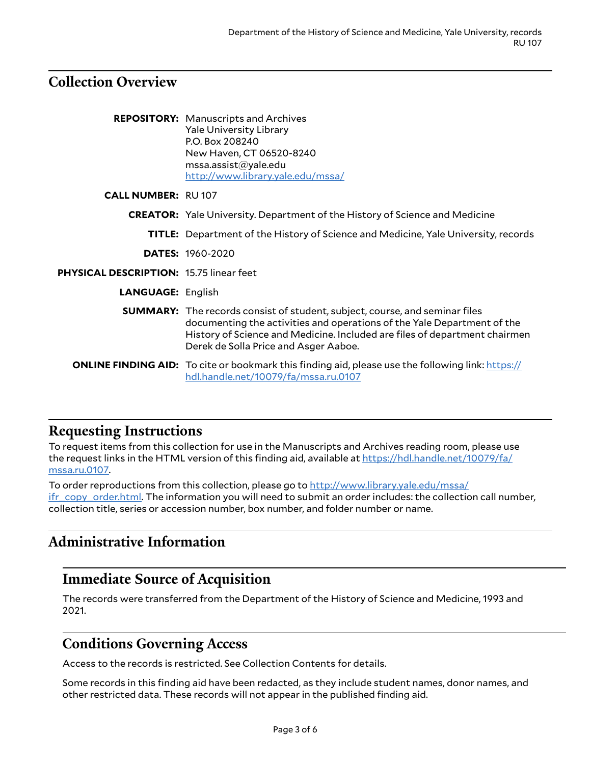#### <span id="page-2-0"></span>**Collection Overview**

|                                                | <b>REPOSITORY:</b> Manuscripts and Archives<br><b>Yale University Library</b><br>P.O. Box 208240<br>New Haven, CT 06520-8240<br>msa. assist@yale.edu<br>http://www.library.yale.edu/mssa/                                                                                            |
|------------------------------------------------|--------------------------------------------------------------------------------------------------------------------------------------------------------------------------------------------------------------------------------------------------------------------------------------|
| <b>CALL NUMBER: RU107</b>                      |                                                                                                                                                                                                                                                                                      |
|                                                | <b>CREATOR:</b> Yale University. Department of the History of Science and Medicine                                                                                                                                                                                                   |
|                                                | <b>TITLE:</b> Department of the History of Science and Medicine, Yale University, records                                                                                                                                                                                            |
|                                                | <b>DATES: 1960-2020</b>                                                                                                                                                                                                                                                              |
| <b>PHYSICAL DESCRIPTION: 15.75 linear feet</b> |                                                                                                                                                                                                                                                                                      |
| <b>LANGUAGE: English</b>                       |                                                                                                                                                                                                                                                                                      |
|                                                | <b>SUMMARY:</b> The records consist of student, subject, course, and seminar files<br>documenting the activities and operations of the Yale Department of the<br>History of Science and Medicine. Included are files of department chairmen<br>Derek de Solla Price and Asger Aaboe. |
|                                                | <b>ONLINE FINDING AID:</b> To cite or bookmark this finding aid, please use the following link: https://<br>hdl.handle.net/10079/fa/mssa.ru.0107                                                                                                                                     |

#### <span id="page-2-1"></span>**Requesting Instructions**

To request items from this collection for use in the Manuscripts and Archives reading room, please use the request links in the HTML version of this finding aid, available at [https://hdl.handle.net/10079/fa/](https://hdl.handle.net/10079/fa/mssa.ru.0107) [mssa.ru.0107.](https://hdl.handle.net/10079/fa/mssa.ru.0107)

To order reproductions from this collection, please go to [http://www.library.yale.edu/mssa/](http://www.library.yale.edu/mssa/ifr_copy_order.html) [ifr\\_copy\\_order.html.](http://www.library.yale.edu/mssa/ifr_copy_order.html) The information you will need to submit an order includes: the collection call number, collection title, series or accession number, box number, and folder number or name.

## <span id="page-2-2"></span>**Administrative Information**

## <span id="page-2-3"></span>**Immediate Source of Acquisition**

The records were transferred from the Department of the History of Science and Medicine, 1993 and 2021.

## <span id="page-2-4"></span>**Conditions Governing Access**

Access to the records is restricted. See Collection Contents for details.

Some records in this finding aid have been redacted, as they include student names, donor names, and other restricted data. These records will not appear in the published finding aid.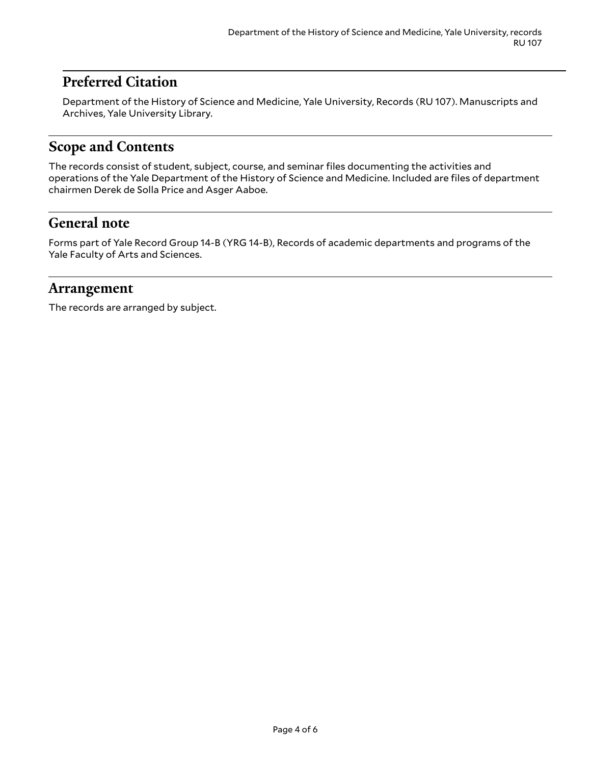## <span id="page-3-0"></span>**Preferred Citation**

Department of the History of Science and Medicine, Yale University, Records (RU 107). Manuscripts and Archives, Yale University Library.

## <span id="page-3-1"></span>**Scope and Contents**

The records consist of student, subject, course, and seminar files documenting the activities and operations of the Yale Department of the History of Science and Medicine. Included are files of department chairmen Derek de Solla Price and Asger Aaboe.

### <span id="page-3-2"></span>**General note**

Forms part of Yale Record Group 14-B (YRG 14-B), Records of academic departments and programs of the Yale Faculty of Arts and Sciences.

#### <span id="page-3-3"></span>**Arrangement**

The records are arranged by subject.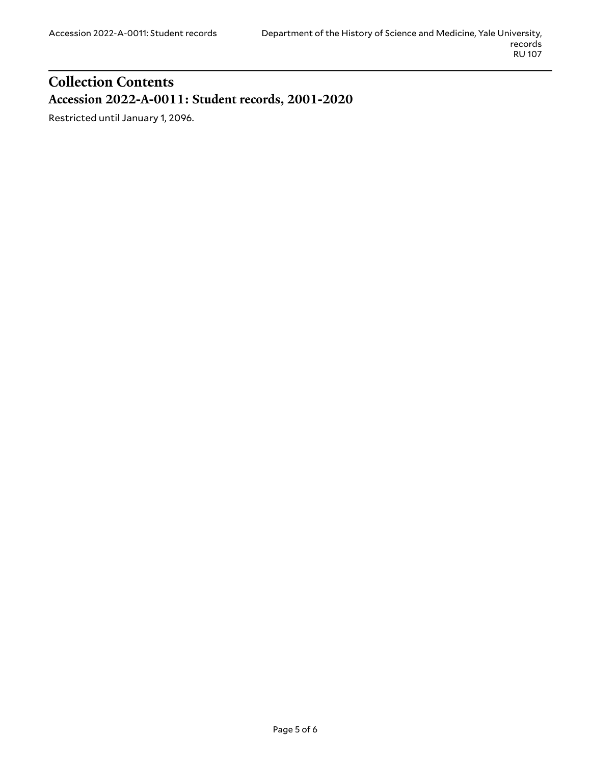## <span id="page-4-1"></span><span id="page-4-0"></span>**Collection Contents Accession 2022-A-0011: Student records, 2001-2020**

Restricted until January 1, 2096.